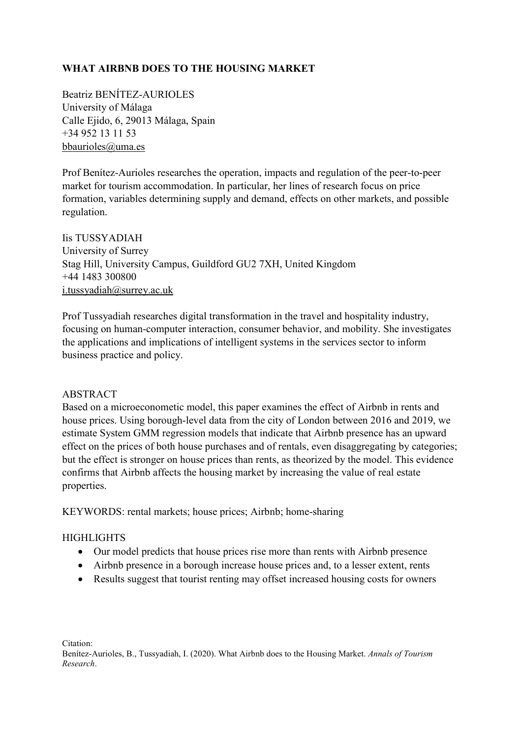# **WHAT AIRBNB DOES TO THE HOUSING MARKET**

Beatriz BENÍTEZ-AURIOLES University of Málaga Calle Ejido, 6, 29013 Málaga, Spain +34 952 13 11 53 [bbaurioles@uma.es](mailto:bbaurioles@uma.es)

Prof Benítez-Aurioles researches the operation, impacts and regulation of the peer-to-peer market for tourism accommodation. In particular, her lines of research focus on price formation, variables determining supply and demand, effects on other markets, and possible regulation.

Iis TUSSYADIAH University of Surrey Stag Hill, University Campus, Guildford GU2 7XH, United Kingdom +44 1483 300800 [i.tussyadiah@surrey.ac.uk](mailto:i.tussyadiah@surrey.ac.uk)

Prof Tussyadiah researches digital transformation in the travel and hospitality industry, focusing on human-computer interaction, consumer behavior, and mobility. She investigates the applications and implications of intelligent systems in the services sector to inform business practice and policy.

## ABSTRACT

Based on a microeconometic model, this paper examines the effect of Airbnb in rents and house prices. Using borough-level data from the city of London between 2016 and 2019, we estimate System GMM regression models that indicate that Airbnb presence has an upward effect on the prices of both house purchases and of rentals, even disaggregating by categories; but the effect is stronger on house prices than rents, as theorized by the model. This evidence confirms that Airbnb affects the housing market by increasing the value of real estate properties.

KEYWORDS: rental markets; house prices; Airbnb; home-sharing

## **HIGHLIGHTS**

- Our model predicts that house prices rise more than rents with Airbnb presence
- Airbnb presence in a borough increase house prices and, to a lesser extent, rents
- Results suggest that tourist renting may offset increased housing costs for owners

Citation:

Benítez-Aurioles, B., Tussyadiah, I. (2020). What Airbnb does to the Housing Market. *Annals of Tourism Research*.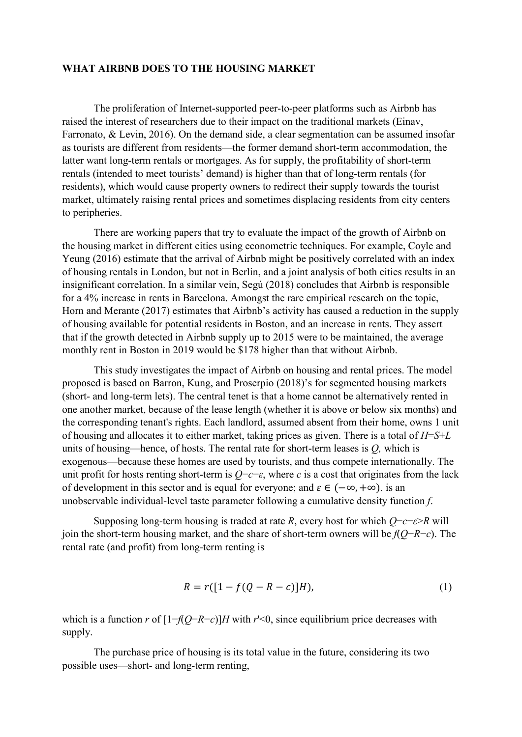#### **WHAT AIRBNB DOES TO THE HOUSING MARKET**

The proliferation of Internet-supported peer-to-peer platforms such as Airbnb has raised the interest of researchers due to their impact on the traditional markets (Einav, Farronato, & Levin, 2016). On the demand side, a clear segmentation can be assumed insofar as tourists are different from residents—the former demand short-term accommodation, the latter want long-term rentals or mortgages. As for supply, the profitability of short-term rentals (intended to meet tourists' demand) is higher than that of long-term rentals (for residents), which would cause property owners to redirect their supply towards the tourist market, ultimately raising rental prices and sometimes displacing residents from city centers to peripheries.

There are working papers that try to evaluate the impact of the growth of Airbnb on the housing market in different cities using econometric techniques. For example, Coyle and Yeung (2016) estimate that the arrival of Airbnb might be positively correlated with an index of housing rentals in London, but not in Berlin, and a joint analysis of both cities results in an insignificant correlation. In a similar vein, Segú (2018) concludes that Airbnb is responsible for a 4% increase in rents in Barcelona. Amongst the rare empirical research on the topic, Horn and Merante (2017) estimates that Airbnb's activity has caused a reduction in the supply of housing available for potential residents in Boston, and an increase in rents. They assert that if the growth detected in Airbnb supply up to 2015 were to be maintained, the average monthly rent in Boston in 2019 would be \$178 higher than that without Airbnb.

This study investigates the impact of Airbnb on housing and rental prices. The model proposed is based on Barron, Kung, and Proserpio (2018)'s for segmented housing markets (short- and long-term lets). The central tenet is that a home cannot be alternatively rented in one another market, because of the lease length (whether it is above or below six months) and the corresponding tenant's rights. Each landlord, assumed absent from their home, owns 1 unit of housing and allocates it to either market, taking prices as given. There is a total of *H*=*S*+*L* units of housing—hence, of hosts. The rental rate for short-term leases is *Q,* which is exogenous—because these homes are used by tourists, and thus compete internationally. The unit profit for hosts renting short-term is  $Q$ −*c*−*ε*, where *c* is a cost that originates from the lack of development in this sector and is equal for everyone; and  $\varepsilon \in (-\infty, +\infty)$ . is an unobservable individual-level taste parameter following a cumulative density function *f*.

Supposing long-term housing is traded at rate *R*, every host for which *Q*−*c*−*ε*>*R* will join the short-term housing market, and the share of short-term owners will be *f*(*Q*−*R*−*c*). The rental rate (and profit) from long-term renting is

$$
R = r([1 - f(Q - R - c)]H),
$$
\n(1)

which is a function *r* of [1−*f*(*Q*−*R*−*c*)]*H* with *r*'<0, since equilibrium price decreases with supply.

The purchase price of housing is its total value in the future, considering its two possible uses—short- and long-term renting,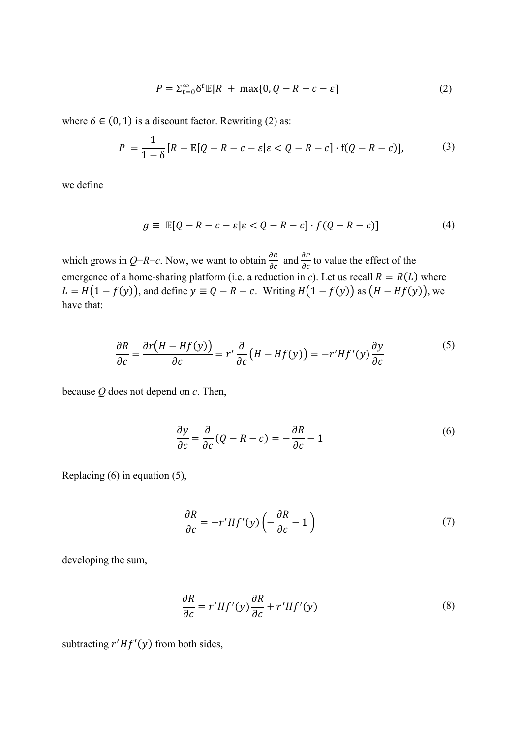$$
P = \sum_{t=0}^{\infty} \delta^t \mathbb{E}[R + \max\{0, Q - R - c - \varepsilon\}]
$$
 (2)

where  $\delta \in (0, 1)$  is a discount factor. Rewriting (2) as:

$$
P = \frac{1}{1-\delta} [R + \mathbb{E}[Q - R - c - \varepsilon] \varepsilon < Q - R - c] \cdot f(Q - R - c)],\tag{3}
$$

we define

$$
g \equiv \mathbb{E}[Q - R - c - \varepsilon | \varepsilon < Q - R - c] \cdot f(Q - R - c)] \tag{4}
$$

which grows in *Q*−*R*−*c*. Now, we want to obtain  $\frac{\partial R}{\partial c}$  and  $\frac{\partial P}{\partial c}$  to value the effect of the emergence of a home-sharing platform (i.e. a reduction in *c*). Let us recall  $R = R(L)$  where  $L = H(1 - f(y))$ , and define  $y \equiv Q - R - c$ . Writing  $H(1 - f(y))$  as  $(H - Hf(y))$ , we have that:

$$
\frac{\partial R}{\partial c} = \frac{\partial r(H - Hf(y))}{\partial c} = r' \frac{\partial}{\partial c} (H - Hf(y)) = -r' Hf'(y) \frac{\partial y}{\partial c}
$$
(5)

because *Q* does not depend on *c*. Then,

$$
\frac{\partial y}{\partial c} = \frac{\partial}{\partial c} (Q - R - c) = -\frac{\partial R}{\partial c} - 1 \tag{6}
$$

Replacing (6) in equation (5),

$$
\frac{\partial R}{\partial c} = -r'Hf'(y)\left(-\frac{\partial R}{\partial c} - 1\right) \tag{7}
$$

developing the sum,

$$
\frac{\partial R}{\partial c} = r'Hf'(y)\frac{\partial R}{\partial c} + r'Hf'(y) \tag{8}
$$

subtracting  $r' H f'(y)$  from both sides,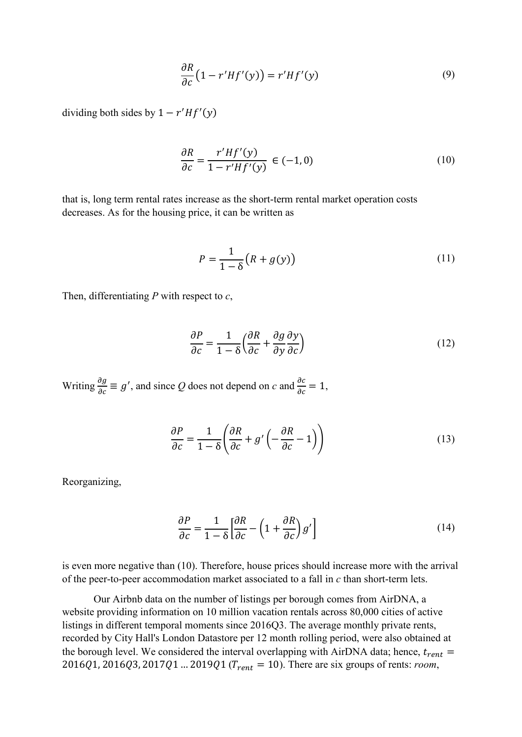$$
\frac{\partial R}{\partial c} \left( 1 - r' H f'(y) \right) = r' H f'(y) \tag{9}
$$

dividing both sides by  $1 - r' H f'(y)$ 

$$
\frac{\partial R}{\partial c} = \frac{r'Hf'(y)}{1 - r'Hf'(y)} \in (-1, 0)
$$
\n(10)

that is, long term rental rates increase as the short-term rental market operation costs decreases. As for the housing price, it can be written as

$$
P = \frac{1}{1 - \delta} \big( R + g(y) \big) \tag{11}
$$

Then, differentiating *P* with respect to *c*,

$$
\frac{\partial P}{\partial c} = \frac{1}{1 - \delta} \left( \frac{\partial R}{\partial c} + \frac{\partial g}{\partial y} \frac{\partial y}{\partial c} \right)
$$
(12)

Writing  $\frac{\partial g}{\partial c} \equiv g'$ , and since Q does not depend on c and  $\frac{\partial c}{\partial c} = 1$ ,

$$
\frac{\partial P}{\partial c} = \frac{1}{1 - \delta} \left( \frac{\partial R}{\partial c} + g' \left( -\frac{\partial R}{\partial c} - 1 \right) \right) \tag{13}
$$

Reorganizing,

$$
\frac{\partial P}{\partial c} = \frac{1}{1 - \delta} \left[ \frac{\partial R}{\partial c} - \left( 1 + \frac{\partial R}{\partial c} \right) g' \right]
$$
(14)

is even more negative than (10). Therefore, house prices should increase more with the arrival of the peer-to-peer accommodation market associated to a fall in *c* than short-term lets.

Our Airbnb data on the number of listings per borough comes from AirDNA, a website providing information on 10 million vacation rentals across 80,000 cities of active listings in different temporal moments since 2016Q3. The average monthly private rents, recorded by City Hall's London Datastore per 12 month rolling period, were also obtained at the borough level. We considered the interval overlapping with AirDNA data; hence,  $t_{rent}$  = 2016Q1, 2016Q3, 2017Q1 ... 2019Q1 ( $T_{rent} = 10$ ). There are six groups of rents: *room*,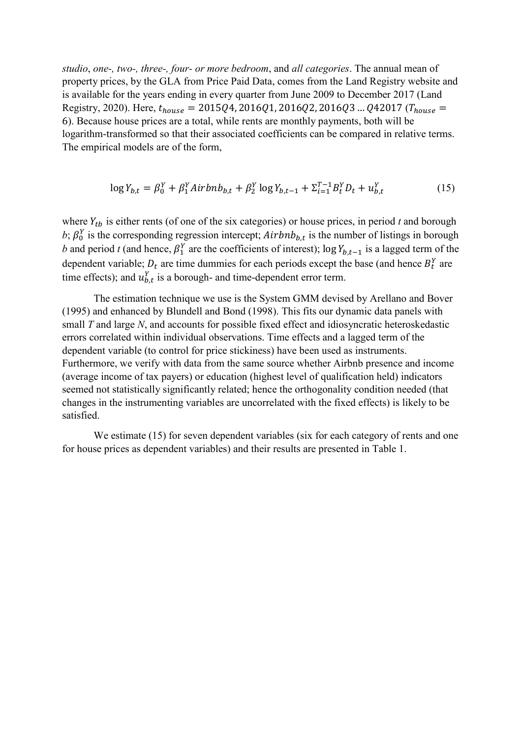*studio*, *one-, two-, three-, four- or more bedroom*, and *all categories*. The annual mean of property prices, by the GLA from Price Paid Data, comes from the Land Registry website and is available for the years ending in every quarter from June 2009 to December 2017 (Land Registry, 2020). Here,  $t_{house} = 2015Q4$ , 2016Q1, 2016Q2, 2016Q3 ... Q42017 ( $T_{house} =$ 6). Because house prices are a total, while rents are monthly payments, both will be logarithm-transformed so that their associated coefficients can be compared in relative terms. The empirical models are of the form,

$$
\log Y_{b,t} = \beta_0^Y + \beta_1^Y Airbnb_{b,t} + \beta_2^Y \log Y_{b,t-1} + \Sigma_{t=1}^{T-1} B_t^Y D_t + u_{b,t}^Y
$$
 (15)

where  $Y_{tb}$  is either rents (of one of the six categories) or house prices, in period  $t$  and borough b;  $\beta_0^Y$  is the corresponding regression intercept;  $Airbnb_{b,t}$  is the number of listings in borough *b* and period *t* (and hence,  $\beta_1^Y$  are the coefficients of interest); log  $Y_{b,t-1}$  is a lagged term of the dependent variable;  $D_t$  are time dummies for each periods except the base (and hence  $B_t^Y$  are time effects); and  $u_{b,t}^Y$  is a borough- and time-dependent error term.

The estimation technique we use is the System GMM devised by Arellano and Bover (1995) and enhanced by Blundell and Bond (1998). This fits our dynamic data panels with small *T* and large *N*, and accounts for possible fixed effect and idiosyncratic heteroskedastic errors correlated within individual observations. Time effects and a lagged term of the dependent variable (to control for price stickiness) have been used as instruments. Furthermore, we verify with data from the same source whether Airbnb presence and income (average income of tax payers) or education (highest level of qualification held) indicators seemed not statistically significantly related; hence the orthogonality condition needed (that changes in the instrumenting variables are uncorrelated with the fixed effects) is likely to be satisfied.

We estimate (15) for seven dependent variables (six for each category of rents and one for house prices as dependent variables) and their results are presented in Table 1.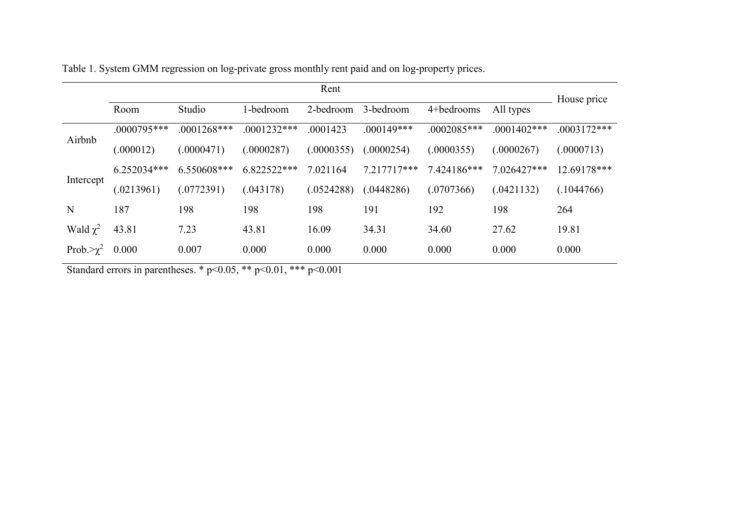|                   | Rent          |               |               |            |              |               |                | House price   |
|-------------------|---------------|---------------|---------------|------------|--------------|---------------|----------------|---------------|
|                   | Room          | Studio        | 1-bedroom     | 2-bedroom  | 3-bedroom    | 4+bedrooms    | All types      |               |
| Airbnb            | $.0000795***$ | $.0001268***$ | $.0001232***$ | .0001423   | $.000149***$ | $.0002085***$ | $.0001402$ *** | $.0003172***$ |
|                   | (.000012)     | (.0000471)    | (.0000287)    | (.0000355) | (.0000254)   | (.0000355)    | (.0000267)     | (.0000713)    |
| Intercept         | $6.252034***$ | $6.550608***$ | 6.822522***   | 7.021164   | 7.217717***  | 7.424186***   | $7.026427***$  | 12.69178***   |
|                   | (.0213961)    | (.0772391)    | (.043178)     | (.0524288) | (.0448286)   | (.0707366)    | (.0421132)     | (.1044766)    |
| N                 | 187           | 198           | 198           | 198        | 191          | 192           | 198            | 264           |
| Wald $\chi^2$     | 43.81         | 7.23          | 43.81         | 16.09      | 34.31        | 34.60         | 27.62          | 19.81         |
| Prob. $>\gamma^2$ | 0.000         | 0.007         | 0.000         | 0.000      | 0.000        | 0.000         | 0.000          | 0.000         |

Table 1. System GMM regression on log-private gross monthly rent paid and on log-property prices.

Standard errors in parentheses. \*  $p<0.05$ , \*\*  $p<0.01$ , \*\*\*  $p<0.001$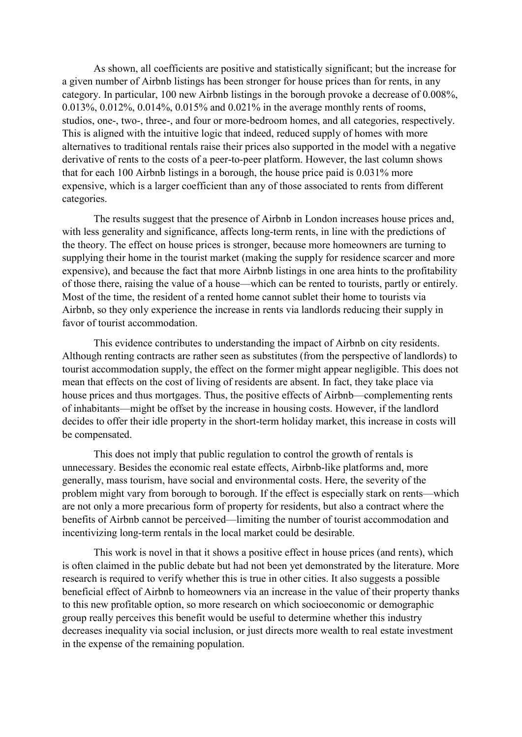As shown, all coefficients are positive and statistically significant; but the increase for a given number of Airbnb listings has been stronger for house prices than for rents, in any category. In particular, 100 new Airbnb listings in the borough provoke a decrease of 0.008%, 0.013%, 0.012%, 0.014%, 0.015% and 0.021% in the average monthly rents of rooms, studios, one-, two-, three-, and four or more-bedroom homes, and all categories, respectively. This is aligned with the intuitive logic that indeed, reduced supply of homes with more alternatives to traditional rentals raise their prices also supported in the model with a negative derivative of rents to the costs of a peer-to-peer platform. However, the last column shows that for each 100 Airbnb listings in a borough, the house price paid is 0.031% more expensive, which is a larger coefficient than any of those associated to rents from different categories.

The results suggest that the presence of Airbnb in London increases house prices and, with less generality and significance, affects long-term rents, in line with the predictions of the theory. The effect on house prices is stronger, because more homeowners are turning to supplying their home in the tourist market (making the supply for residence scarcer and more expensive), and because the fact that more Airbnb listings in one area hints to the profitability of those there, raising the value of a house—which can be rented to tourists, partly or entirely. Most of the time, the resident of a rented home cannot sublet their home to tourists via Airbnb, so they only experience the increase in rents via landlords reducing their supply in favor of tourist accommodation.

This evidence contributes to understanding the impact of Airbnb on city residents. Although renting contracts are rather seen as substitutes (from the perspective of landlords) to tourist accommodation supply, the effect on the former might appear negligible. This does not mean that effects on the cost of living of residents are absent. In fact, they take place via house prices and thus mortgages. Thus, the positive effects of Airbnb—complementing rents of inhabitants—might be offset by the increase in housing costs. However, if the landlord decides to offer their idle property in the short-term holiday market, this increase in costs will be compensated.

This does not imply that public regulation to control the growth of rentals is unnecessary. Besides the economic real estate effects, Airbnb-like platforms and, more generally, mass tourism, have social and environmental costs. Here, the severity of the problem might vary from borough to borough. If the effect is especially stark on rents—which are not only a more precarious form of property for residents, but also a contract where the benefits of Airbnb cannot be perceived—limiting the number of tourist accommodation and incentivizing long-term rentals in the local market could be desirable.

This work is novel in that it shows a positive effect in house prices (and rents), which is often claimed in the public debate but had not been yet demonstrated by the literature. More research is required to verify whether this is true in other cities. It also suggests a possible beneficial effect of Airbnb to homeowners via an increase in the value of their property thanks to this new profitable option, so more research on which socioeconomic or demographic group really perceives this benefit would be useful to determine whether this industry decreases inequality via social inclusion, or just directs more wealth to real estate investment in the expense of the remaining population.